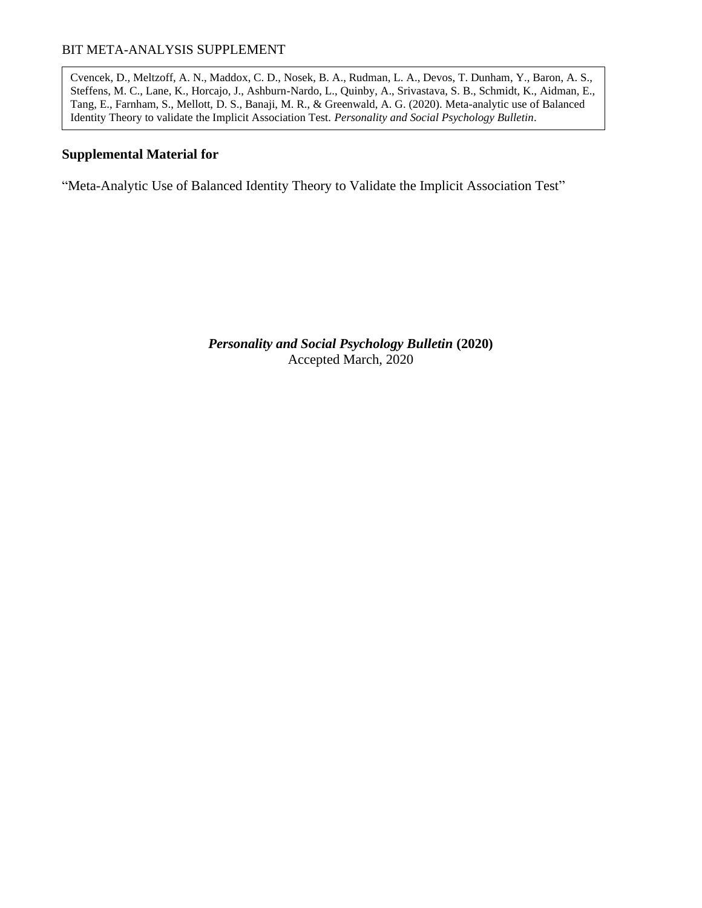Cvencek, D., Meltzoff, A. N., Maddox, C. D., Nosek, B. A., Rudman, L. A., Devos, T. Dunham, Y., Baron, A. S., Steffens, M. C., Lane, K., Horcajo, J., Ashburn-Nardo, L., Quinby, A., Srivastava, S. B., Schmidt, K., Aidman, E., Tang, E., Farnham, S., Mellott, D. S., Banaji, M. R., & Greenwald, A. G. (2020). Meta-analytic use of Balanced Identity Theory to validate the Implicit Association Test. *Personality and Social Psychology Bulletin*.

### **Supplemental Material for**

"Meta-Analytic Use of Balanced Identity Theory to Validate the Implicit Association Test"

*Personality and Social Psychology Bulletin* **(2020)** Accepted March, 2020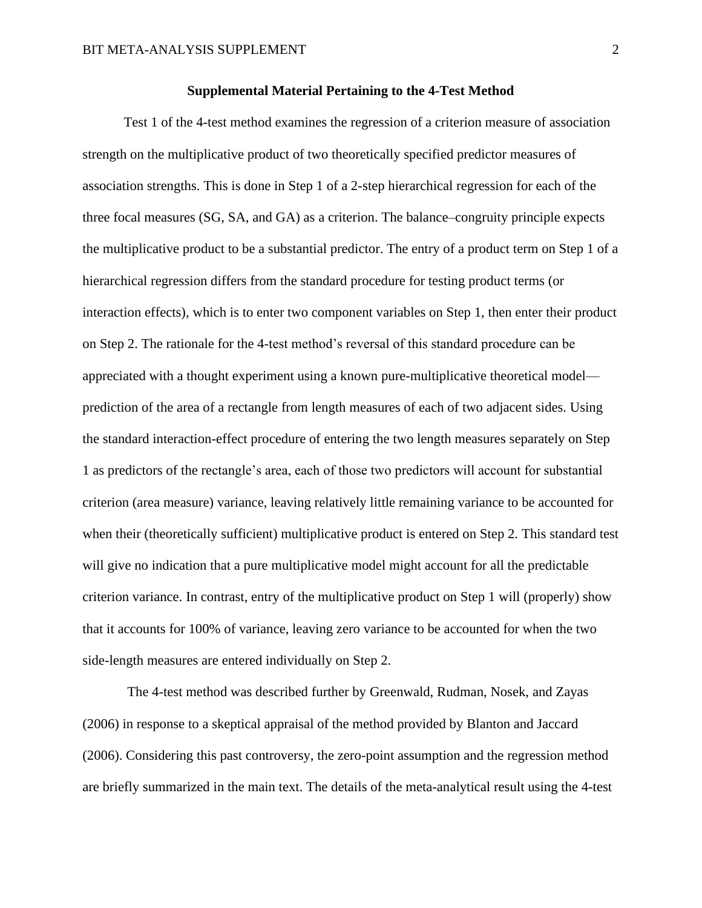Test 1 of the 4-test method examines the regression of a criterion measure of association strength on the multiplicative product of two theoretically specified predictor measures of association strengths. This is done in Step 1 of a 2-step hierarchical regression for each of the three focal measures (SG, SA, and GA) as a criterion. The balance–congruity principle expects the multiplicative product to be a substantial predictor. The entry of a product term on Step 1 of a hierarchical regression differs from the standard procedure for testing product terms (or interaction effects), which is to enter two component variables on Step 1, then enter their product on Step 2. The rationale for the 4-test method's reversal of this standard procedure can be appreciated with a thought experiment using a known pure-multiplicative theoretical model prediction of the area of a rectangle from length measures of each of two adjacent sides. Using the standard interaction-effect procedure of entering the two length measures separately on Step 1 as predictors of the rectangle's area, each of those two predictors will account for substantial criterion (area measure) variance, leaving relatively little remaining variance to be accounted for when their (theoretically sufficient) multiplicative product is entered on Step 2. This standard test will give no indication that a pure multiplicative model might account for all the predictable criterion variance. In contrast, entry of the multiplicative product on Step 1 will (properly) show that it accounts for 100% of variance, leaving zero variance to be accounted for when the two side-length measures are entered individually on Step 2.

The 4-test method was described further by Greenwald, Rudman, Nosek, and Zayas (2006) in response to a skeptical appraisal of the method provided by Blanton and Jaccard (2006). Considering this past controversy, the zero-point assumption and the regression method are briefly summarized in the main text. The details of the meta-analytical result using the 4-test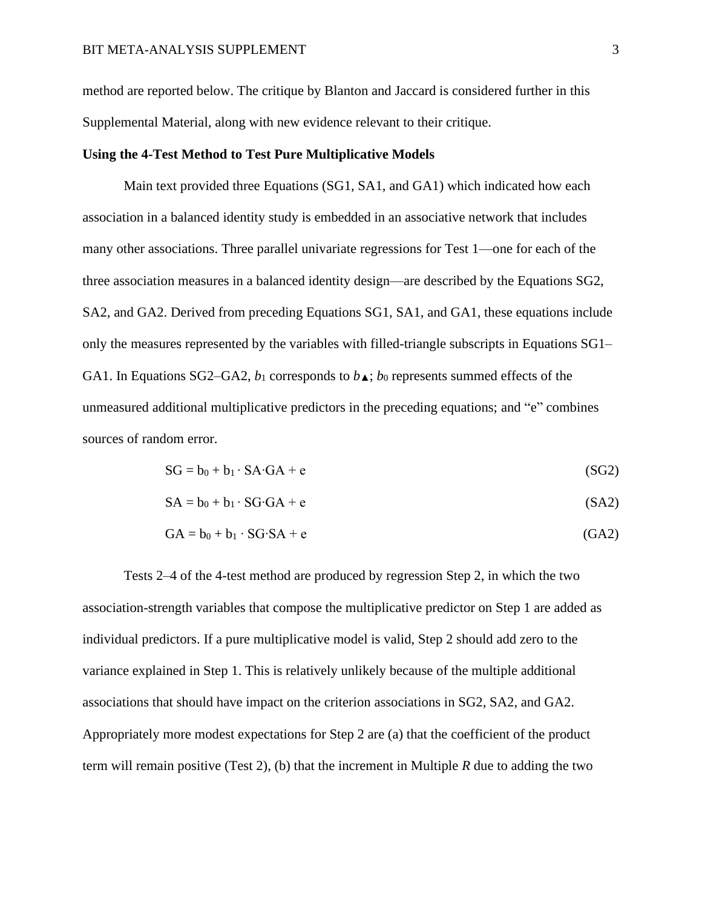method are reported below. The critique by Blanton and Jaccard is considered further in this Supplemental Material, along with new evidence relevant to their critique.

#### **Using the 4-Test Method to Test Pure Multiplicative Models**

Main text provided three Equations (SG1, SA1, and GA1) which indicated how each association in a balanced identity study is embedded in an associative network that includes many other associations. Three parallel univariate regressions for Test 1—one for each of the three association measures in a balanced identity design—are described by the Equations SG2, SA2, and GA2. Derived from preceding Equations SG1, SA1, and GA1, these equations include only the measures represented by the variables with filled-triangle subscripts in Equations SG1– GA1. In Equations SG2–GA2,  $b_1$  corresponds to  $b_{\blacktriangle}$ ;  $b_0$  represents summed effects of the unmeasured additional multiplicative predictors in the preceding equations; and "e" combines sources of random error.

$$
SG = b_0 + b_1 \cdot SA \cdot GA + e \tag{SG2}
$$

$$
SA = b_0 + b_1 \cdot SG \cdot GA + e \tag{SA2}
$$

$$
GA = b_0 + b_1 \cdot SG \cdot SA + e \tag{GA2}
$$

Tests 2–4 of the 4-test method are produced by regression Step 2, in which the two association-strength variables that compose the multiplicative predictor on Step 1 are added as individual predictors. If a pure multiplicative model is valid, Step 2 should add zero to the variance explained in Step 1. This is relatively unlikely because of the multiple additional associations that should have impact on the criterion associations in SG2, SA2, and GA2. Appropriately more modest expectations for Step 2 are (a) that the coefficient of the product term will remain positive (Test 2), (b) that the increment in Multiple *R* due to adding the two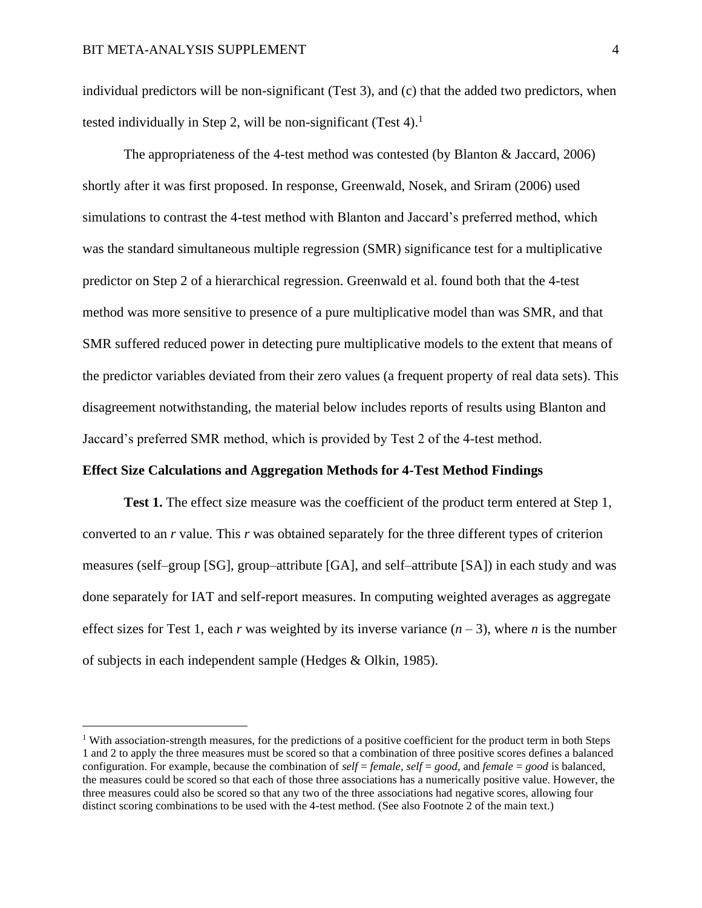individual predictors will be non-significant (Test 3), and (c) that the added two predictors, when tested individually in Step 2, will be non-significant (Test 4).<sup>1</sup>

The appropriateness of the 4-test method was contested (by Blanton & Jaccard, 2006) shortly after it was first proposed. In response, Greenwald, Nosek, and Sriram (2006) used simulations to contrast the 4-test method with Blanton and Jaccard's preferred method, which was the standard simultaneous multiple regression (SMR) significance test for a multiplicative predictor on Step 2 of a hierarchical regression. Greenwald et al. found both that the 4-test method was more sensitive to presence of a pure multiplicative model than was SMR, and that SMR suffered reduced power in detecting pure multiplicative models to the extent that means of the predictor variables deviated from their zero values (a frequent property of real data sets). This disagreement notwithstanding, the material below includes reports of results using Blanton and Jaccard's preferred SMR method, which is provided by Test 2 of the 4-test method.

#### **Effect Size Calculations and Aggregation Methods for 4-Test Method Findings**

**Test 1.** The effect size measure was the coefficient of the product term entered at Step 1, converted to an *r* value. This *r* was obtained separately for the three different types of criterion measures (self–group [SG], group–attribute [GA], and self–attribute [SA]) in each study and was done separately for IAT and self-report measures. In computing weighted averages as aggregate effect sizes for Test 1, each *r* was weighted by its inverse variance  $(n-3)$ , where *n* is the number of subjects in each independent sample (Hedges & Olkin, 1985).

<sup>&</sup>lt;sup>1</sup> With association-strength measures, for the predictions of a positive coefficient for the product term in both Steps 1 and 2 to apply the three measures must be scored so that a combination of three positive scores defines a balanced configuration. For example, because the combination of *self* = *female*, *self* = *good*, and *female* = *good* is balanced, the measures could be scored so that each of those three associations has a numerically positive value. However, the three measures could also be scored so that any two of the three associations had negative scores, allowing four distinct scoring combinations to be used with the 4-test method. (See also Footnote 2 of the main text.)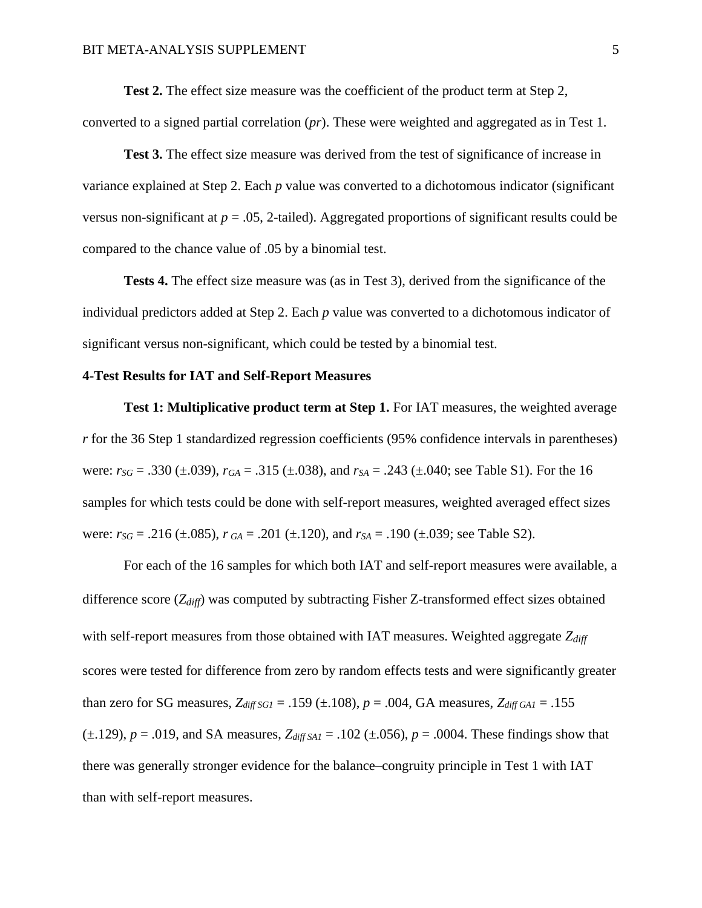**Test 2.** The effect size measure was the coefficient of the product term at Step 2,

converted to a signed partial correlation (*pr*). These were weighted and aggregated as in Test 1.

**Test 3.** The effect size measure was derived from the test of significance of increase in variance explained at Step 2. Each *p* value was converted to a dichotomous indicator (significant versus non-significant at  $p = .05$ , 2-tailed). Aggregated proportions of significant results could be compared to the chance value of .05 by a binomial test.

**Tests 4.** The effect size measure was (as in Test 3), derived from the significance of the individual predictors added at Step 2. Each *p* value was converted to a dichotomous indicator of significant versus non-significant, which could be tested by a binomial test.

#### **4-Test Results for IAT and Self-Report Measures**

**Test 1: Multiplicative product term at Step 1.** For IAT measures, the weighted average *r* for the 36 Step 1 standardized regression coefficients (95% confidence intervals in parentheses) were: *rSG* = .330 (±.039), *rGA* = .315 (±.038), and *rSA* = .243 (±.040; see Table S1). For the 16 samples for which tests could be done with self-report measures, weighted averaged effect sizes were:  $r_{SG} = .216 \ (\pm .085)$ ,  $r_{GA} = .201 \ (\pm .120)$ , and  $r_{SA} = .190 \ (\pm .039)$ ; see Table S2).

For each of the 16 samples for which both IAT and self-report measures were available, a difference score (*Zdiff*) was computed by subtracting Fisher Z-transformed effect sizes obtained with self-report measures from those obtained with IAT measures. Weighted aggregate *Zdiff* scores were tested for difference from zero by random effects tests and were significantly greater than zero for SG measures, *Zdiff SG1* = .159 (±.108), *p* = .004, GA measures, *Zdiff GA1* = .155  $(\pm.129)$ ,  $p = .019$ , and SA measures,  $Z_{diff, SAI} = .102 (\pm.056)$ ,  $p = .0004$ . These findings show that there was generally stronger evidence for the balance–congruity principle in Test 1 with IAT than with self-report measures.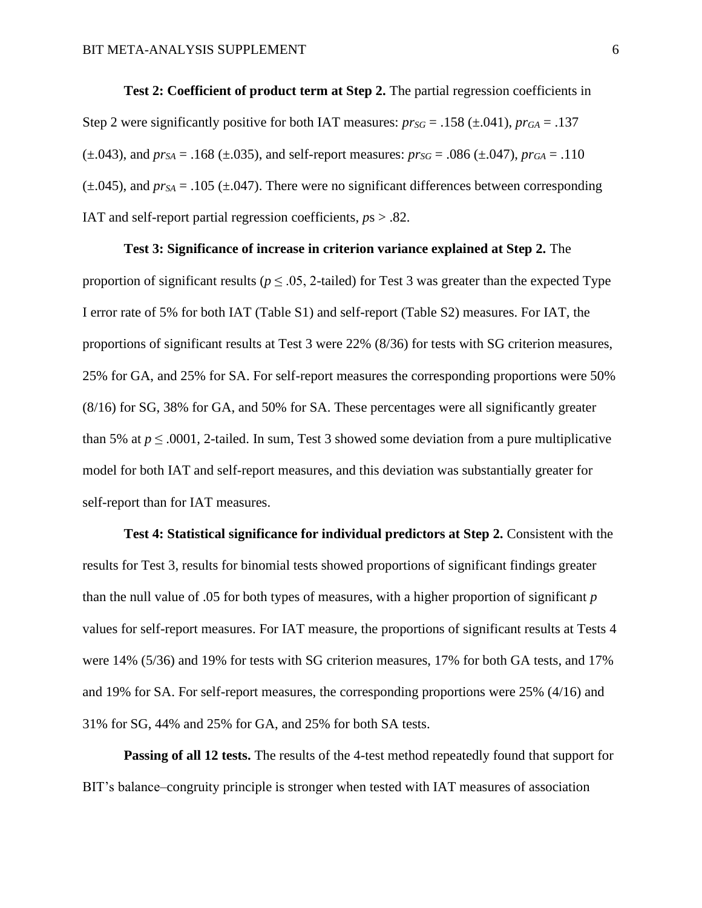**Test 2: Coefficient of product term at Step 2.** The partial regression coefficients in Step 2 were significantly positive for both IAT measures:  $pr_{SG} = .158 (\pm .041)$ ,  $pr_{GA} = .137$  $(t\pm.043)$ , and  $pr_{SA} = .168$  ( $\pm.035$ ), and self-report measures:  $pr_{SG} = .086$  ( $\pm.047$ ),  $pr_{GA} = .110$  $(\pm .045)$ , and  $pr_{SA} = .105 (\pm .047)$ . There were no significant differences between corresponding IAT and self-report partial regression coefficients, *p*s > .82.

#### **Test 3: Significance of increase in criterion variance explained at Step 2.** The

proportion of significant results ( $p \le 0.05$ , 2-tailed) for Test 3 was greater than the expected Type I error rate of 5% for both IAT (Table S1) and self-report (Table S2) measures. For IAT, the proportions of significant results at Test 3 were 22% (8/36) for tests with SG criterion measures, 25% for GA, and 25% for SA. For self-report measures the corresponding proportions were 50% (8/16) for SG, 38% for GA, and 50% for SA. These percentages were all significantly greater than 5% at  $p \le 0.0001$ , 2-tailed. In sum, Test 3 showed some deviation from a pure multiplicative model for both IAT and self-report measures, and this deviation was substantially greater for self-report than for IAT measures.

**Test 4: Statistical significance for individual predictors at Step 2.** Consistent with the results for Test 3, results for binomial tests showed proportions of significant findings greater than the null value of .05 for both types of measures, with a higher proportion of significant *p* values for self-report measures. For IAT measure, the proportions of significant results at Tests 4 were 14% (5/36) and 19% for tests with SG criterion measures, 17% for both GA tests, and 17% and 19% for SA. For self-report measures, the corresponding proportions were 25% (4/16) and 31% for SG, 44% and 25% for GA, and 25% for both SA tests.

**Passing of all 12 tests.** The results of the 4-test method repeatedly found that support for BIT's balance–congruity principle is stronger when tested with IAT measures of association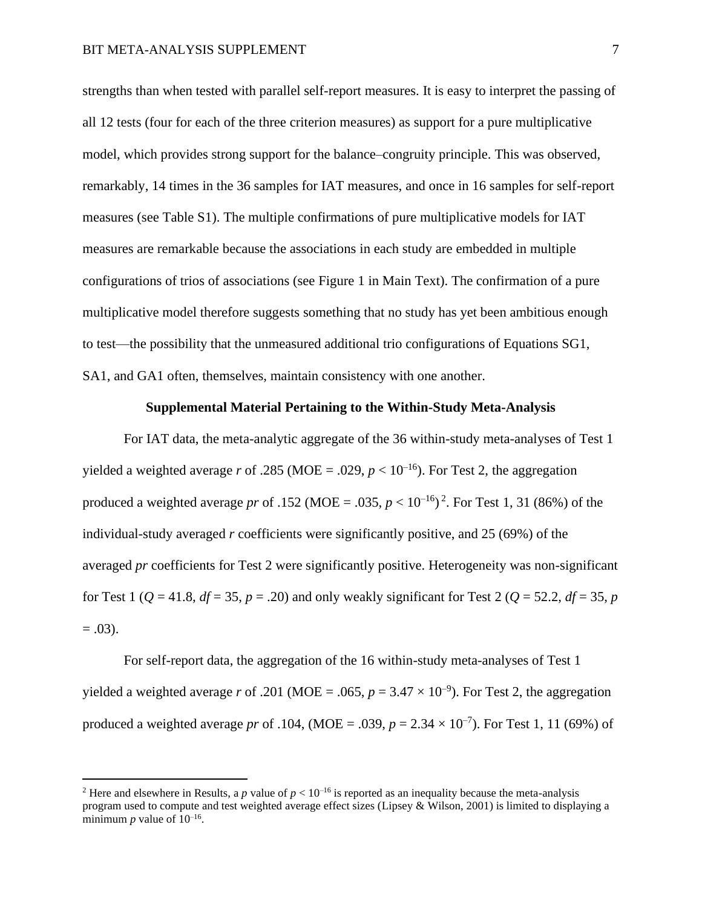strengths than when tested with parallel self-report measures. It is easy to interpret the passing of all 12 tests (four for each of the three criterion measures) as support for a pure multiplicative model, which provides strong support for the balance–congruity principle. This was observed, remarkably, 14 times in the 36 samples for IAT measures, and once in 16 samples for self-report measures (see Table S1). The multiple confirmations of pure multiplicative models for IAT measures are remarkable because the associations in each study are embedded in multiple configurations of trios of associations (see Figure 1 in Main Text). The confirmation of a pure multiplicative model therefore suggests something that no study has yet been ambitious enough to test—the possibility that the unmeasured additional trio configurations of Equations SG1, SA1, and GA1 often, themselves, maintain consistency with one another.

#### **Supplemental Material Pertaining to the Within-Study Meta-Analysis**

For IAT data, the meta-analytic aggregate of the 36 within-study meta-analyses of Test 1 yielded a weighted average *r* of .285 (MOE = .029,  $p < 10^{-16}$ ). For Test 2, the aggregation produced a weighted average *pr* of .152 (MOE = .035,  $p < 10^{-16}$ )<sup>2</sup>. For Test 1, 31 (86%) of the individual-study averaged *r* coefficients were significantly positive, and 25 (69%) of the averaged *pr* coefficients for Test 2 were significantly positive. Heterogeneity was non-significant for Test 1 ( $Q = 41.8$ ,  $df = 35$ ,  $p = .20$ ) and only weakly significant for Test 2 ( $Q = 52.2$ ,  $df = 35$ ,  $p = .20$ )  $= .03$ ).

For self-report data, the aggregation of the 16 within-study meta-analyses of Test 1 yielded a weighted average *r* of .201 (MOE = .065,  $p = 3.47 \times 10^{-9}$ ). For Test 2, the aggregation produced a weighted average *pr* of .104, (MOE = .039,  $p = 2.34 \times 10^{-7}$ ). For Test 1, 11 (69%) of

<sup>&</sup>lt;sup>2</sup> Here and elsewhere in Results, a *p* value of  $p < 10^{-16}$  is reported as an inequality because the meta-analysis program used to compute and test weighted average effect sizes (Lipsey & Wilson, 2001) is limited to displaying a minimum  $p$  value of  $10^{-16}$ .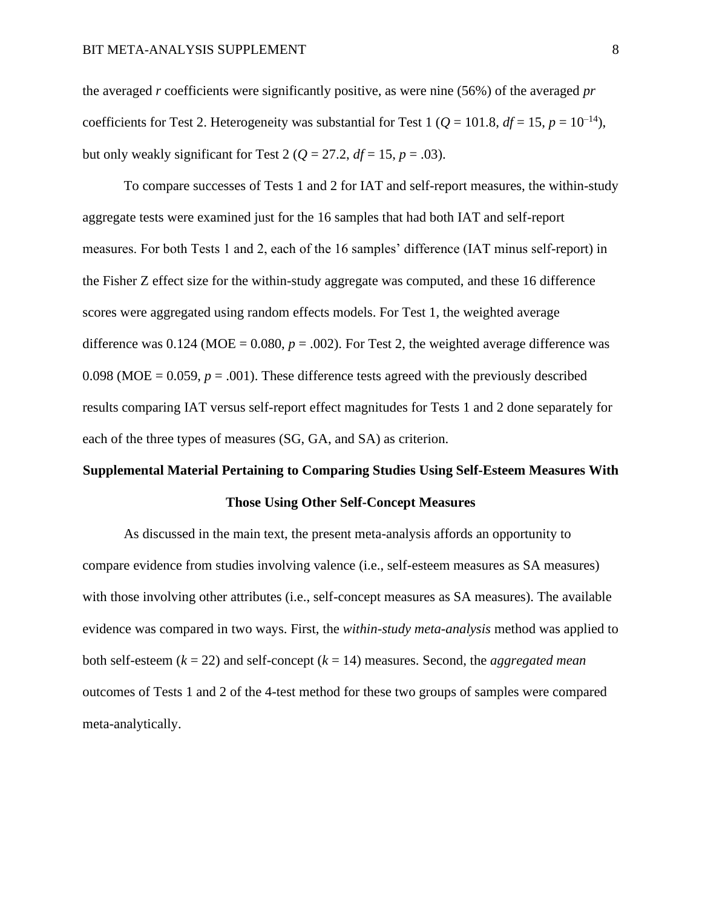the averaged *r* coefficients were significantly positive, as were nine (56%) of the averaged *pr* coefficients for Test 2. Heterogeneity was substantial for Test 1 ( $Q = 101.8$ ,  $df = 15$ ,  $p = 10^{-14}$ ), but only weakly significant for Test 2 ( $Q = 27.2$ ,  $df = 15$ ,  $p = .03$ ).

To compare successes of Tests 1 and 2 for IAT and self-report measures, the within-study aggregate tests were examined just for the 16 samples that had both IAT and self-report measures. For both Tests 1 and 2, each of the 16 samples' difference (IAT minus self-report) in the Fisher Z effect size for the within-study aggregate was computed, and these 16 difference scores were aggregated using random effects models. For Test 1, the weighted average difference was  $0.124$  (MOE =  $0.080$ ,  $p = .002$ ). For Test 2, the weighted average difference was 0.098 (MOE =  $0.059$ ,  $p = .001$ ). These difference tests agreed with the previously described results comparing IAT versus self-report effect magnitudes for Tests 1 and 2 done separately for each of the three types of measures (SG, GA, and SA) as criterion.

# **Supplemental Material Pertaining to Comparing Studies Using Self-Esteem Measures With Those Using Other Self-Concept Measures**

As discussed in the main text, the present meta-analysis affords an opportunity to compare evidence from studies involving valence (i.e., self-esteem measures as SA measures) with those involving other attributes (i.e., self-concept measures as SA measures). The available evidence was compared in two ways. First, the *within-study meta-analysis* method was applied to both self-esteem (*k* = 22) and self-concept (*k* = 14) measures. Second, the *aggregated mean*  outcomes of Tests 1 and 2 of the 4-test method for these two groups of samples were compared meta-analytically.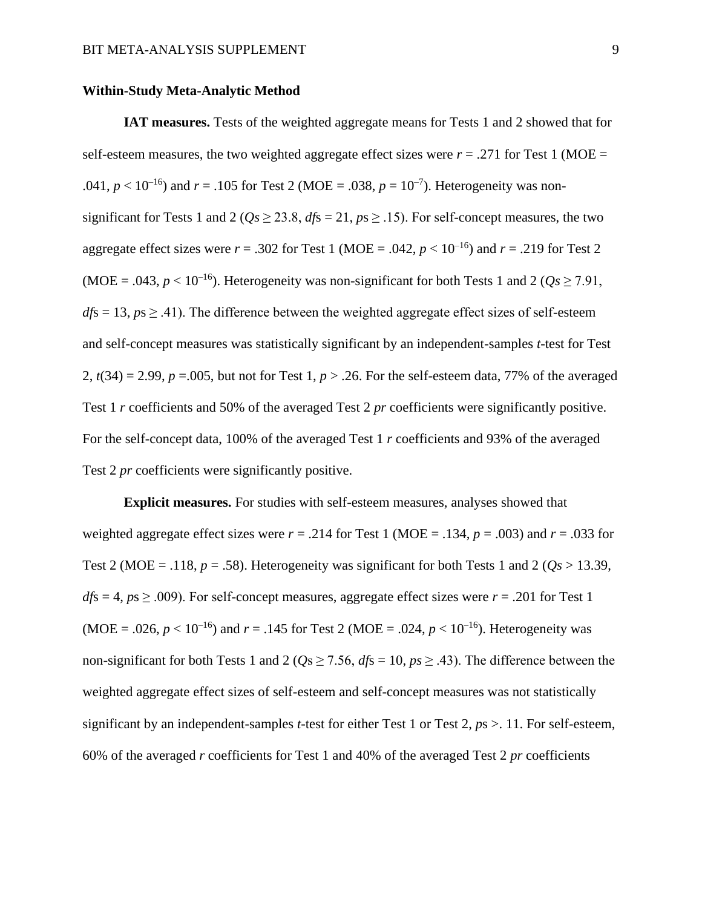#### **Within-Study Meta-Analytic Method**

**IAT measures.** Tests of the weighted aggregate means for Tests 1 and 2 showed that for self-esteem measures, the two weighted aggregate effect sizes were  $r = .271$  for Test 1 (MOE = .041,  $p < 10^{-16}$ ) and  $r = .105$  for Test 2 (MOE = .038,  $p = 10^{-7}$ ). Heterogeneity was nonsignificant for Tests 1 and 2 ( $Qs \ge 23.8$ ,  $dfs = 21$ ,  $ps \ge .15$ ). For self-concept measures, the two aggregate effect sizes were  $r = .302$  for Test 1 (MOE = .042,  $p < 10^{-16}$ ) and  $r = .219$  for Test 2 (MOE = .043,  $p < 10^{-16}$ ). Heterogeneity was non-significant for both Tests 1 and 2 ( $Q_s \ge 7.91$ ,  $dfs = 13$ ,  $ps \ge 0.41$ ). The difference between the weighted aggregate effect sizes of self-esteem and self-concept measures was statistically significant by an independent-samples *t*-test for Test 2,  $t(34) = 2.99$ ,  $p = .005$ , but not for Test 1,  $p > .26$ . For the self-esteem data, 77% of the averaged Test 1 *r* coefficients and 50% of the averaged Test 2 *pr* coefficients were significantly positive. For the self-concept data, 100% of the averaged Test 1 *r* coefficients and 93% of the averaged Test 2 *pr* coefficients were significantly positive.

**Explicit measures.** For studies with self-esteem measures, analyses showed that weighted aggregate effect sizes were  $r = .214$  for Test 1 (MOE = .134,  $p = .003$ ) and  $r = .033$  for Test 2 (MOE = .118,  $p = .58$ ). Heterogeneity was significant for both Tests 1 and 2 ( $Os > 13.39$ ,  $dfs = 4$ ,  $ps \ge .009$ ). For self-concept measures, aggregate effect sizes were  $r = .201$  for Test 1 (MOE = .026,  $p < 10^{-16}$ ) and  $r = .145$  for Test 2 (MOE = .024,  $p < 10^{-16}$ ). Heterogeneity was non-significant for both Tests 1 and 2 ( $Qs \ge 7.56$ ,  $dfs = 10$ ,  $ps \ge .43$ ). The difference between the weighted aggregate effect sizes of self-esteem and self-concept measures was not statistically significant by an independent-samples *t*-test for either Test 1 or Test 2, *p*s >. 11. For self-esteem, 60% of the averaged *r* coefficients for Test 1 and 40% of the averaged Test 2 *pr* coefficients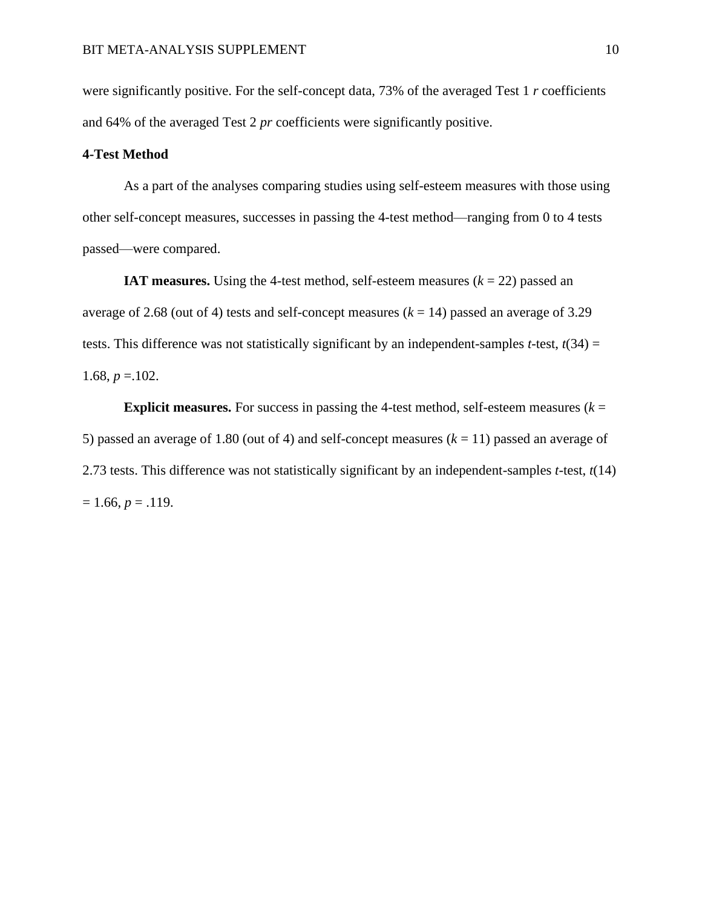were significantly positive. For the self-concept data, 73% of the averaged Test 1 *r* coefficients and 64% of the averaged Test 2 *pr* coefficients were significantly positive.

#### **4-Test Method**

As a part of the analyses comparing studies using self-esteem measures with those using other self-concept measures, successes in passing the 4-test method—ranging from 0 to 4 tests passed—were compared.

**IAT measures.** Using the 4-test method, self-esteem measures  $(k = 22)$  passed an average of 2.68 (out of 4) tests and self-concept measures  $(k = 14)$  passed an average of 3.29 tests. This difference was not statistically significant by an independent-samples *t*-test,  $t(34) =$ 1.68,  $p = 102$ .

**Explicit measures.** For success in passing the 4-test method, self-esteem measures  $(k =$ 5) passed an average of 1.80 (out of 4) and self-concept measures (*k* = 11) passed an average of 2.73 tests. This difference was not statistically significant by an independent-samples *t*-test, *t*(14)  $= 1.66, p = .119.$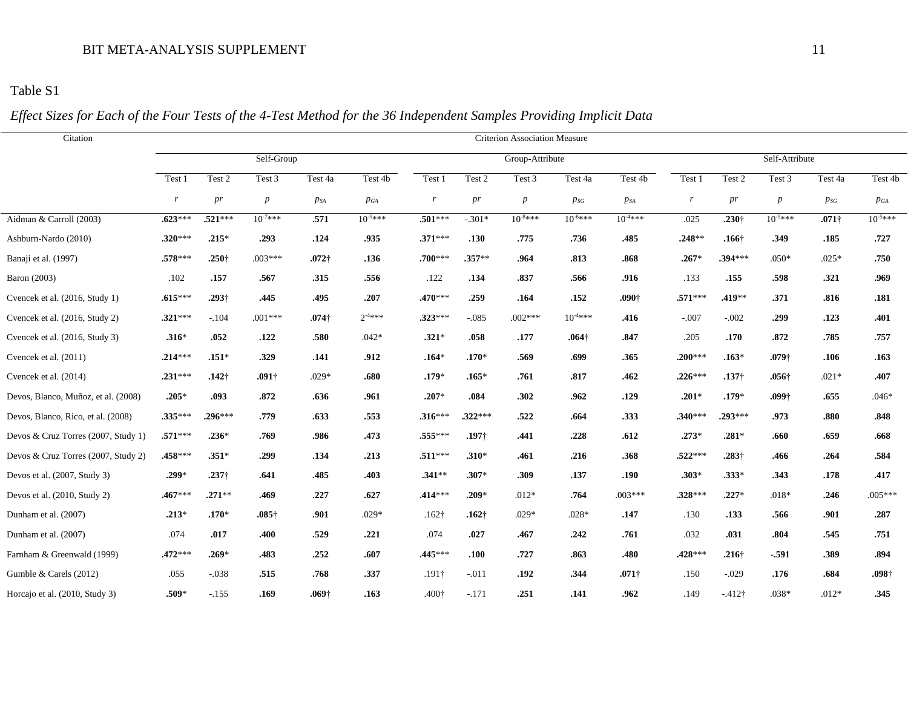# Table S1

# *Effect Sizes for Each of the Four Tests of the 4-Test Method for the 36 Independent Samples Providing Implicit Data*

| Citation                            | <b>Criterion Association Measure</b> |                   |                  |               |              |                   |                   |                  |               |                   |           |                   |                   |               |                   |  |
|-------------------------------------|--------------------------------------|-------------------|------------------|---------------|--------------|-------------------|-------------------|------------------|---------------|-------------------|-----------|-------------------|-------------------|---------------|-------------------|--|
|                                     | Self-Group                           |                   |                  |               |              |                   | Group-Attribute   |                  |               |                   |           | Self-Attribute    |                   |               |                   |  |
|                                     | Test 1                               | Test 2            | Test 3           | Test 4a       | Test 4b      | Test 1            | Test 2            | Test 3           | Test 4a       | Test 4b           | Test 1    | Test 2            | Test 3            | Test 4a       | Test 4b           |  |
|                                     | r                                    | pr                | $\boldsymbol{p}$ | $p_{SA}$      | $p_{GA}$     | $\boldsymbol{r}$  | pr                | $\boldsymbol{p}$ | $p_{SG}$      | $p_{SA}$          | $r_{\rm}$ | pr                | $\boldsymbol{p}$  | $p_{SG}$      | $p_{GA}$          |  |
| Aidman & Carroll (2003)             | $.623***$                            | $.521***$         | $10^{-7***}$     | .571          | $10^{-5***}$ | $.501***$         | $-.301*$          | $10^{-8***}$     | $10^{-6***}$  | $10^{-4***}$      | .025      | .230 <sup>†</sup> | $10^{-5***}$      | $.071\dagger$ | $10^{-5***}$      |  |
| Ashburn-Nardo (2010)                | $.320***$                            | $.215*$           | .293             | .124          | .935         | $.371***$         | .130              | .775             | .736          | .485              | $.248**$  | .166 <sup>†</sup> | .349              | .185          | .727              |  |
| Banaji et al. (1997)                | $.578***$                            | $.250\dagger$     | $.003***$        | $.072\dagger$ | .136         | $.700***$         | $.357**$          | .964             | .813          | .868              | $.267*$   | $.394***$         | $.050*$           | $.025*$       | .750              |  |
| Baron (2003)                        | .102                                 | .157              | .567             | .315          | .556         | .122              | .134              | .837             | .566          | .916              | .133      | .155              | .598              | .321          | .969              |  |
| Cvencek et al. (2016, Study 1)      | $.615***$                            | .293†             | .445             | .495          | .207         | $.470***$         | .259              | .164             | .152          | .090 <sup>†</sup> | $.571***$ | .419**            | .371              | .816          | .181              |  |
| Cvencek et al. (2016, Study 2)      | $.321***$                            | $-.104$           | $.001***$        | $.074\dagger$ | $2^{-4***}$  | $.323***$         | $-.085$           | $.002***$        | $10^{4***}$   | .416              | $-.007$   | $-.002$           | .299              | .123          | .401              |  |
| Cvencek et al. (2016, Study 3)      | $.316*$                              | .052              | .122             | .580          | $.042*$      | $.321*$           | .058              | .177             | $.064\dagger$ | .847              | .205      | .170              | .872              | .785          | .757              |  |
| Cvencek et al. (2011)               | $.214***$                            | $.151*$           | .329             | .141          | .912         | $.164*$           | $.170*$           | .569             | .699          | .365              | $.200***$ | $.163*$           | $.079+$           | .106          | .163              |  |
| Cvencek et al. (2014)               | $.231***$                            | $.142\dagger$     | $.091\dagger$    | $.029*$       | .680         | $.179*$           | $.165*$           | .761             | .817          | .462              | $.226***$ | .137 <sup>†</sup> | $.056\dagger$     | $.021*$       | .407              |  |
| Devos, Blanco, Muñoz, et al. (2008) | $.205*$                              | .093              | .872             | .636          | .961         | $.207*$           | .084              | .302             | .962          | .129              | $.201*$   | $.179*$           | .099 <sup>†</sup> | .655          | $.046*$           |  |
| Devos, Blanco, Rico, et al. (2008)  | $.335***$                            | $.296***$         | .779             | .633          | .553         | $.316***$         | $.322***$         | .522             | .664          | .333              | $.340***$ | $.293***$         | .973              | .880          | .848              |  |
| Devos & Cruz Torres (2007, Study 1) | $.571***$                            | $.236*$           | .769             | .986          | .473         | .555***           | .197 <sup>†</sup> | .441             | .228          | .612              | $.273*$   | $.281*$           | .660              | .659          | .668              |  |
| Devos & Cruz Torres (2007, Study 2) | .458***                              | $.351*$           | .299             | .134          | .213         | $.511***$         | $.310*$           | .461             | .216          | .368              | $.522***$ | $.283\dagger$     | .466              | .264          | .584              |  |
| Devos et al. (2007, Study 3)        | $.299*$                              | .237 <sup>†</sup> | .641             | .485          | .403         | $.341**$          | $.307*$           | .309             | .137          | .190              | $.303*$   | $.333*$           | .343              | .178          | .417              |  |
| Devos et al. (2010, Study 2)        | $.467***$                            | $.271**$          | .469             | .227          | .627         | .414***           | $.209*$           | $.012*$          | .764          | $.003***$         | $.328***$ | $.227*$           | $.018*$           | .246          | $.005***$         |  |
| Dunham et al. (2007)                | $.213*$                              | $.170*$           | $.085\dagger$    | .901          | $.029*$      | $.162\dagger$     | $.162\dagger$     | $.029*$          | $.028*$       | .147              | .130      | .133              | .566              | .901          | .287              |  |
| Dunham et al. (2007)                | .074                                 | .017              | .400             | .529          | .221         | .074              | .027              | .467             | .242          | .761              | .032      | .031              | .804              | .545          | .751              |  |
| Farnham & Greenwald (1999)          | $.472***$                            | $.269*$           | .483             | .252          | .607         | .445 ***          | .100              | .727             | .863          | .480              | .428***   | $.216\dagger$     | $-.591$           | .389          | .894              |  |
| Gumble & Carels (2012)              | .055                                 | $-.038$           | .515             | .768          | .337         | $.191\dagger$     | $-.011$           | .192             | .344          | $.071\dagger$     | .150      | $-.029$           | .176              | .684          | .098 <sup>†</sup> |  |
| Horcajo et al. (2010, Study 3)      | $.509*$                              | $-.155$           | .169             | $.069\dagger$ | .163         | .400 <sub>1</sub> | $-.171$           | .251             | .141          | .962              | .149      | $-412\dagger$     | $.038*$           | $.012*$       | .345              |  |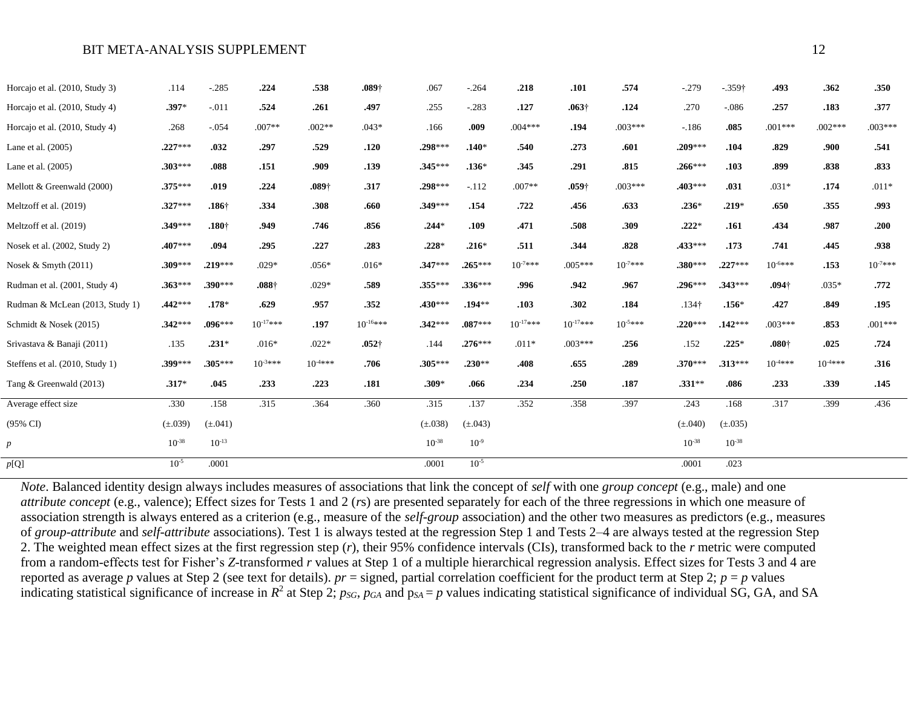| Horcajo et al. (2010, Study 3)  | .114         | $-.285$           | .224              | .538         | $.089+$       | .067         | $-.264$      | .218          | .101          | .574         | $-.279$           | $-359+$      | .493              | .362        | .350         |
|---------------------------------|--------------|-------------------|-------------------|--------------|---------------|--------------|--------------|---------------|---------------|--------------|-------------------|--------------|-------------------|-------------|--------------|
| Horcajo et al. (2010, Study 4)  | $.397*$      | $-.011$           | .524              | .261         | .497          | .255         | $-.283$      | .127          | $.063\dagger$ | .124         | .270              | $-.086$      | .257              | .183        | .377         |
| Horcajo et al. (2010, Study 4)  | .268         | $-.054$           | $.007**$          | $.002**$     | $.043*$       | .166         | .009         | $.004***$     | .194          | $.003***$    | $-186$            | .085         | $.001***$         | $.002***$   | $.003***$    |
| Lane et al. (2005)              | $.227***$    | .032              | .297              | .529         | .120          | .298***      | $.140*$      | .540          | .273          | .601         | $.209***$         | .104         | .829              | .900        | .541         |
| Lane et al. (2005)              | $.303***$    | .088              | .151              | .909         | .139          | $.345***$    | $.136*$      | .345          | .291          | .815         | $.266***$         | .103         | .899              | .838        | .833         |
| Mellott & Greenwald (2000)      | $.375***$    | .019              | .224              | $.089+$      | .317          | $.298***$    | $-112$       | $.007**$      | $.059+$       | $.003***$    | $.403***$         | .031         | $.031*$           | .174        | $.011*$      |
| Meltzoff et al. (2019)          | $.327***$    | .186 <sup>†</sup> | .334              | .308         | .660          | $.349***$    | .154         | .722          | .456          | .633         | $.236*$           | $.219*$      | .650              | .355        | .993         |
| Meltzoff et al. (2019)          | .349***      | .180 <sup>†</sup> | .949              | .746         | .856          | $.244*$      | .109         | .471          | .508          | .309         | $.222*$           | .161         | .434              | .987        | .200         |
| Nosek et al. (2002, Study 2)    | $.407***$    | .094              | .295              | .227         | .283          | $.228*$      | $.216*$      | .511          | .344          | .828         | $.433***$         | .173         | .741              | .445        | .938         |
| Nosek & Smyth $(2011)$          | $.309***$    | $.219***$         | $.029*$           | $.056*$      | $.016*$       | $.347***$    | $.265***$    | $10^{-7***}$  | $.005***$     | $10^{-7***}$ | $.380***$         | $.227***$    | $10^{-6***}$      | .153        | $10^{-7***}$ |
| Rudman et al. (2001, Study 4)   | $.363***$    | $.390***$         | .088 <sup>†</sup> | $.029*$      | .589          | $.355***$    | $.336***$    | .996          | .942          | .967         | $.296***$         | $.343***$    | .094 <sup>†</sup> | $.035*$     | .772         |
| Rudman & McLean (2013, Study 1) | $.442***$    | $.178*$           | .629              | .957         | .352          | $.430***$    | $.194***$    | .103          | .302          | .184         | .134 <sup>†</sup> | $.156*$      | .427              | .849        | .195         |
| Schmidt & Nosek (2015)          | $.342***$    | $.096***$         | $10^{-17***}$     | .197         | $10^{-16***}$ | $.342***$    | $.087***$    | $10^{-17***}$ | $10^{-17***}$ | $10^{-5***}$ | $.220***$         | $.142***$    | $.003***$         | .853        | $.001***$    |
| Srivastava & Banaji (2011)      | .135         | $.231*$           | $.016*$           | $.022*$      | $.052 +$      | .144         | $.276***$    | $.011*$       | $.003***$     | .256         | .152              | $.225*$      | .080 <sup>†</sup> | .025        | .724         |
| Steffens et al. (2010, Study 1) | .399***      | $.305***$         | $10^{-3***}$      | $10^{-4***}$ | .706          | $.305***$    | $.230**$     | .408          | .655          | .289         | $.370***$         | $.313***$    | $10^{4***}$       | $10^{4***}$ | .316         |
| Tang & Greenwald (2013)         | $.317*$      | .045              | .233              | .223         | .181          | $.309*$      | .066         | .234          | .250          | .187         | $.331**$          | .086         | .233              | .339        | .145         |
| Average effect size             | .330         | .158              | .315              | .364         | .360          | .315         | .137         | .352          | .358          | .397         | .243              | .168         | .317              | .399        | .436         |
| (95% CI)                        | $(\pm .039)$ | $(\pm .041)$      |                   |              |               | $(\pm .038)$ | $(\pm .043)$ |               |               |              | $(\pm .040)$      | $(\pm .035)$ |                   |             |              |
| $\boldsymbol{p}$                | $10^{-38}$   | $10^{-13}$        |                   |              |               | $10^{-38}$   | $10^{-9}$    |               |               |              | $10^{-38}$        | $10^{-38}$   |                   |             |              |
| p[Q]                            | $10^{-5}$    | .0001             |                   |              |               | .0001        | $10^{-5}$    |               |               |              | .0001             | .023         |                   |             |              |

*Note*. Balanced identity design always includes measures of associations that link the concept of *self* with one *group concept* (e.g., male) and one *attribute concept* (e.g., valence); Effect sizes for Tests 1 and 2 (*r*s) are presented separately for each of the three regressions in which one measure of association strength is always entered as a criterion (e.g., measure of the *self-group* association) and the other two measures as predictors (e.g., measures of *group-attribute* and *self-attribute* associations). Test 1 is always tested at the regression Step 1 and Tests 2–4 are always tested at the regression Step 2. The weighted mean effect sizes at the first regression step (*r*), their 95% confidence intervals (CIs), transformed back to the *r* metric were computed from a random-effects test for Fisher's *Z*-transformed *r* values at Step 1 of a multiple hierarchical regression analysis. Effect sizes for Tests 3 and 4 are reported as average  $p$  values at Step 2 (see text for details).  $pr =$  signed, partial correlation coefficient for the product term at Step 2;  $p = p$  values indicating statistical significance of increase in  $R^2$  at Step 2;  $p_{SG}$ ,  $p_{GA}$  and  $p_{SA} = p$  values indicating statistical significance of individual SG, GA, and SA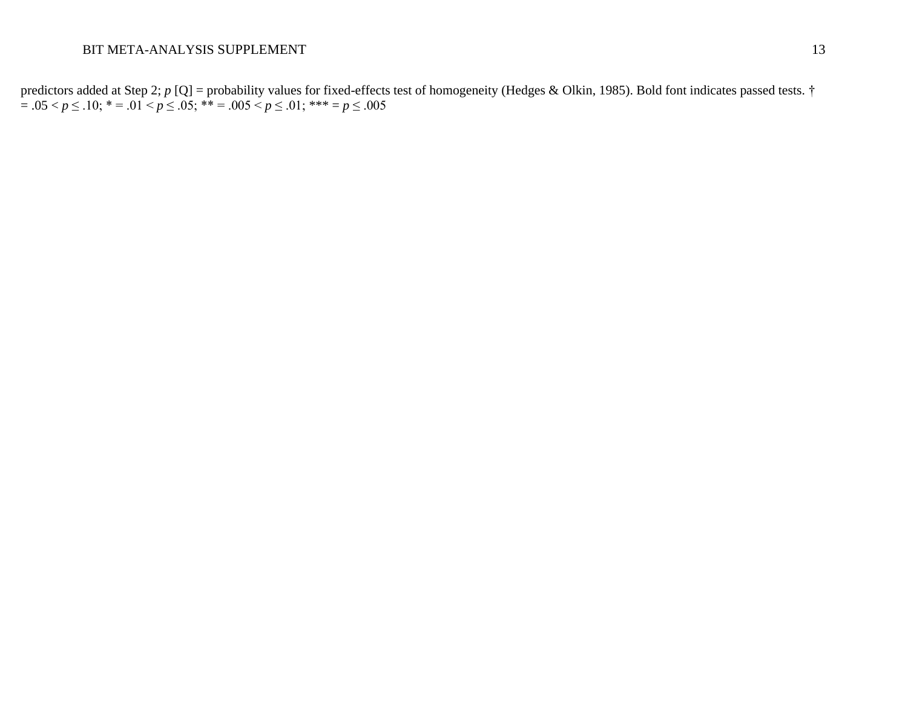predictors added at Step 2; *p* [Q] = probability values for fixed-effects test of homogeneity (Hedges & Olkin, 1985). Bold font indicates passed tests. † = .05 < *p* ≤ .10; \* = .01 < *p* ≤ .05; \*\* = .005 < *p* ≤ .01; \*\*\* = *p* ≤ .005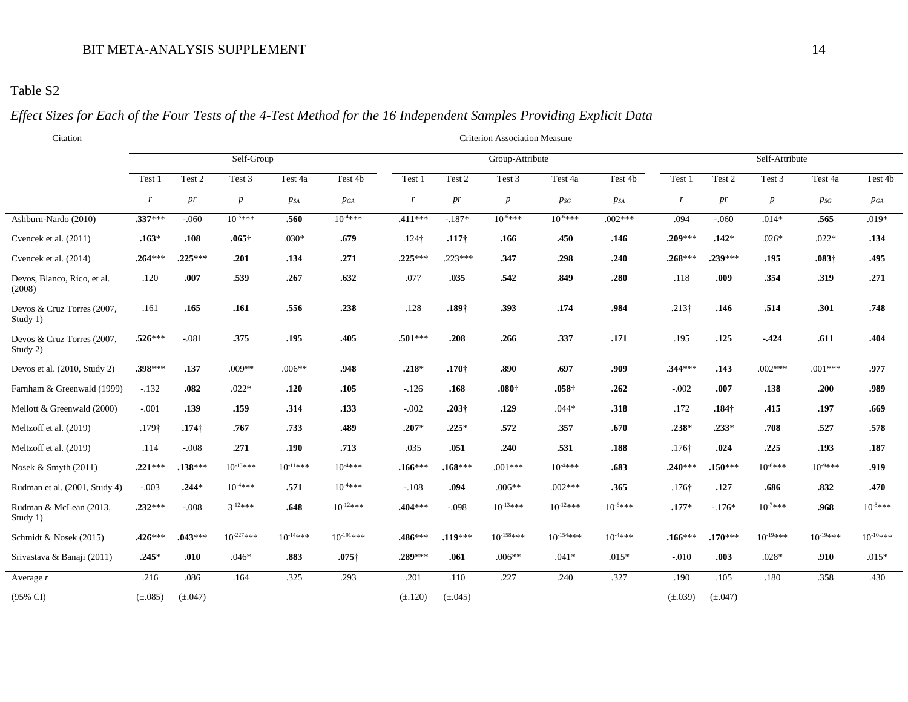# Table S2

# *Effect Sizes for Each of the Four Tests of the 4-Test Method for the 16 Independent Samples Providing Explicit Data*

| Citation                               | <b>Criterion Association Measure</b> |               |                  |               |                |               |                   |                   |                   |              |                   |                   |                 |               |               |  |  |  |
|----------------------------------------|--------------------------------------|---------------|------------------|---------------|----------------|---------------|-------------------|-------------------|-------------------|--------------|-------------------|-------------------|-----------------|---------------|---------------|--|--|--|
|                                        |                                      |               | Self-Group       |               |                |               | Group-Attribute   |                   |                   |              |                   |                   | Self-Attribute  |               |               |  |  |  |
|                                        | Test 1                               | Test 2        | Test 3           | Test 4a       | Test 4b        | Test 1        | Test 2            | Test 3            | Test 4a           | Test 4b      | Test 1            | Test 2            | Test 3          | Test 4a       | Test 4b       |  |  |  |
|                                        | r                                    | pr            | $\boldsymbol{p}$ | $p_{SA}$      | $p_{GA}$       | r             | pr                | $\boldsymbol{p}$  | $p_{SG}$          | $p_{SA}$     | r                 | pr                | $p_{\parallel}$ | $p_{SG}$      | $p_{GA}$      |  |  |  |
| Ashburn-Nardo (2010)                   | .337***                              | $-.060$       | $10^{-5***}$     | .560          | $10^{4***}$    | .411 ***      | $-.187*$          | $10^{-6***}$      | $10^{-6***}$      | $.002***$    | .094              | $-.060$           | $.014*$         | .565          | $.019*$       |  |  |  |
| Cvencek et al. (2011)                  | $.163*$                              | .108          | $.065\dagger$    | $.030*$       | .679           | $.124\dagger$ | $.117\dagger$     | .166              | .450              | .146         | $.209***$         | $.142*$           | $.026*$         | $.022*$       | .134          |  |  |  |
| Cvencek et al. (2014)                  | $.264***$                            | $.225***$     | .201             | .134          | .271           | $.225***$     | $.223***$         | .347              | .298              | .240         | $.268***$         | $.239***$         | .195            | $.083\dagger$ | .495          |  |  |  |
| Devos, Blanco, Rico, et al.<br>(2008)  | .120                                 | .007          | .539             | .267          | .632           | .077          | .035              | .542              | .849              | .280         | .118              | .009              | .354            | .319          | .271          |  |  |  |
| Devos & Cruz Torres (2007,<br>Study 1) | .161                                 | .165          | .161             | .556          | .238           | .128          | .189 <sup>†</sup> | .393              | .174              | .984         | $.213\dagger$     | .146              | .514            | .301          | .748          |  |  |  |
| Devos & Cruz Torres (2007,<br>Study 2) | $.526***$                            | $-.081$       | .375             | .195          | .405           | $.501***$     | .208              | .266              | .337              | .171         | .195              | .125              | $-.424$         | .611          | .404          |  |  |  |
| Devos et al. (2010, Study 2)           | $.398***$                            | .137          | $.009**$         | $.006**$      | .948           | $.218*$       | $.170+$           | .890              | .697              | .909         | $.344***$         | .143              | $.002***$       | $.001***$     | .977          |  |  |  |
| Farnham & Greenwald (1999)             | $-.132$                              | .082          | $.022*$          | .120          | .105           | $-126$        | .168              | .080 <sub>†</sub> | .058 <sup>†</sup> | .262         | $-.002$           | .007              | .138            | .200          | .989          |  |  |  |
| Mellott & Greenwald (2000)             | $-.001$                              | .139          | .159             | .314          | .133           | $-.002$       | $.203\dagger$     | .129              | $.044*$           | .318         | .172              | .184 <sup>†</sup> | .415            | .197          | .669          |  |  |  |
| Meltzoff et al. (2019)                 | .179 <sup>†</sup>                    | $.174\dagger$ | .767             | .733          | .489           | $.207*$       | $.225*$           | .572              | .357              | .670         | $.238*$           | $.233*$           | .708            | .527          | .578          |  |  |  |
| Meltzoff et al. (2019)                 | .114                                 | $-.008$       | .271             | .190          | .713           | .035          | .051              | .240              | .531              | .188         | .176 <sup>†</sup> | .024              | .225            | .193          | .187          |  |  |  |
| Nosek & Smyth (2011)                   | $.221***$                            | $.138***$     | $10^{-13***}$    | $10^{-11***}$ | $10^{4***}$    | $.166***$     | $.168***$         | $.001***$         | $10^{-4***}$      | .683         | $.240***$         | $.150***$         | $10^{-8***}$    | $10^{-9***}$  | .919          |  |  |  |
| Rudman et al. (2001, Study 4)          | $-.003$                              | $.244*$       | $10^{4***}$      | .571          | $10^{4***}$    | $-.108$       | .094              | $.006**$          | $.002***$         | .365         | .176 <sup>†</sup> | .127              | .686            | .832          | .470          |  |  |  |
| Rudman & McLean (2013,<br>Study 1)     | $.232***$                            | $-.008$       | $3^{-12}$ ***    | .648          | $10^{-12***}$  | .404***       | $-.098$           | $10^{-13***}$     | $10^{-12***}$     | $10^{-6***}$ | $.177*$           | $-.176*$          | $10^{-7***}$    | .968          | $10^{-8***}$  |  |  |  |
| Schmidt & Nosek (2015)                 | $.426***$                            | $.043***$     | $10^{-227***}$   | $10^{-14***}$ | $10^{-191***}$ | .486***       | $.119***$         | $10^{-158***}$    | $10^{-154***}$    | $10^{4***}$  | $.166***$         | $.170***$         | $10^{-19***}$   | $10^{-19***}$ | $10^{-10***}$ |  |  |  |
| Srivastava & Banaji (2011)             | $.245*$                              | .010          | $.046*$          | .883          | $.075\dagger$  | .289***       | .061              | $.006**$          | $.041*$           | $.015*$      | $-.010$           | .003              | $.028*$         | .910          | $.015*$       |  |  |  |
| Average $r$                            | .216                                 | .086          | .164             | .325          | .293           | .201          | .110              | .227              | .240              | .327         | .190              | .105              | .180            | .358          | .430          |  |  |  |
| $(95\% \text{ CI})$                    | $(\pm .085)$                         | $(\pm .047)$  |                  |               |                | $(\pm .120)$  | $(\pm .045)$      |                   |                   |              | $(\pm .039)$      | $(\pm .047)$      |                 |               |               |  |  |  |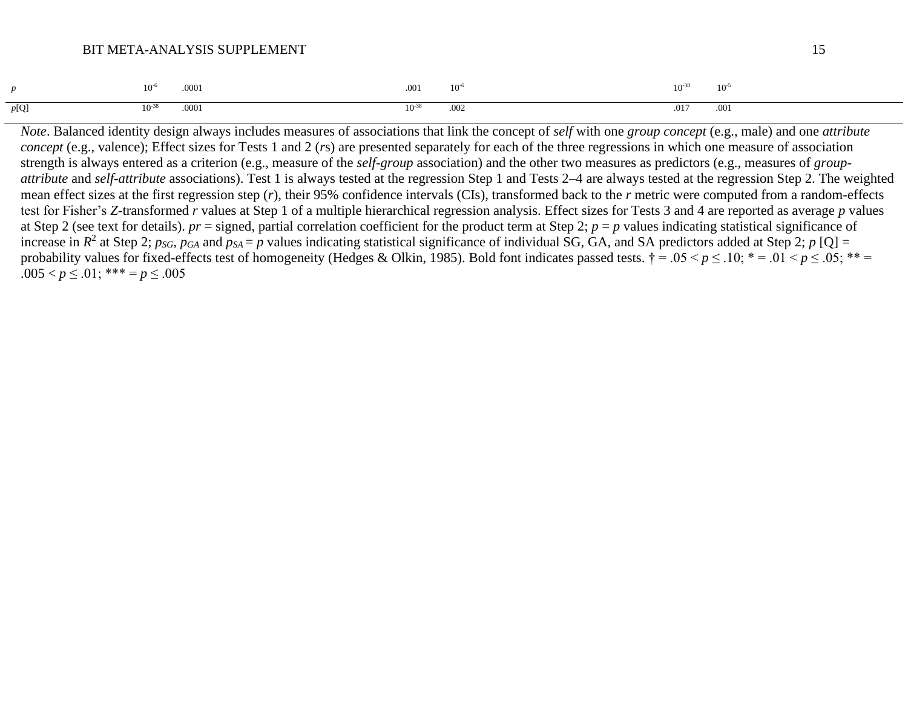|      | .000 <sub>i</sub> | .001      | $10^{-6}$ | $10^{-37}$ | $10^{-}$ |
|------|-------------------|-----------|-----------|------------|----------|
| p[Q] | .000              | $10^{-3}$ | .002      | .017       | 001      |

*Note*. Balanced identity design always includes measures of associations that link the concept of *self* with one *group concept* (e.g., male) and one *attribute concept* (e.g., valence); Effect sizes for Tests 1 and 2 (*r*s) are presented separately for each of the three regressions in which one measure of association strength is always entered as a criterion (e.g., measure of the *self-group* association) and the other two measures as predictors (e.g., measures of *groupattribute* and *self-attribute* associations). Test 1 is always tested at the regression Step 1 and Tests 2–4 are always tested at the regression Step 2. The weighted mean effect sizes at the first regression step (*r*), their 95% confidence intervals (CIs), transformed back to the *r* metric were computed from a random-effects test for Fisher's *Z*-transformed *r* values at Step 1 of a multiple hierarchical regression analysis. Effect sizes for Tests 3 and 4 are reported as average *p* values at Step 2 (see text for details).  $pr =$  signed, partial correlation coefficient for the product term at Step 2;  $p = p$  values indicating statistical significance of increase in  $R^2$  at Step 2; *psG*, *pGA* and  $p_{SA} = p$  values indicating statistical significance of individual SG, GA, and SA predictors added at Step 2; *p* [Q] = probability values for fixed-effects test of homogeneity (Hedges & Olkin, 1985). Bold font indicates passed tests.  $\dagger = .05 < p \le .10$ ;  $* = .01 < p \le .05$ ;  $** =$ .005  $; *** =  $p \leq .005$$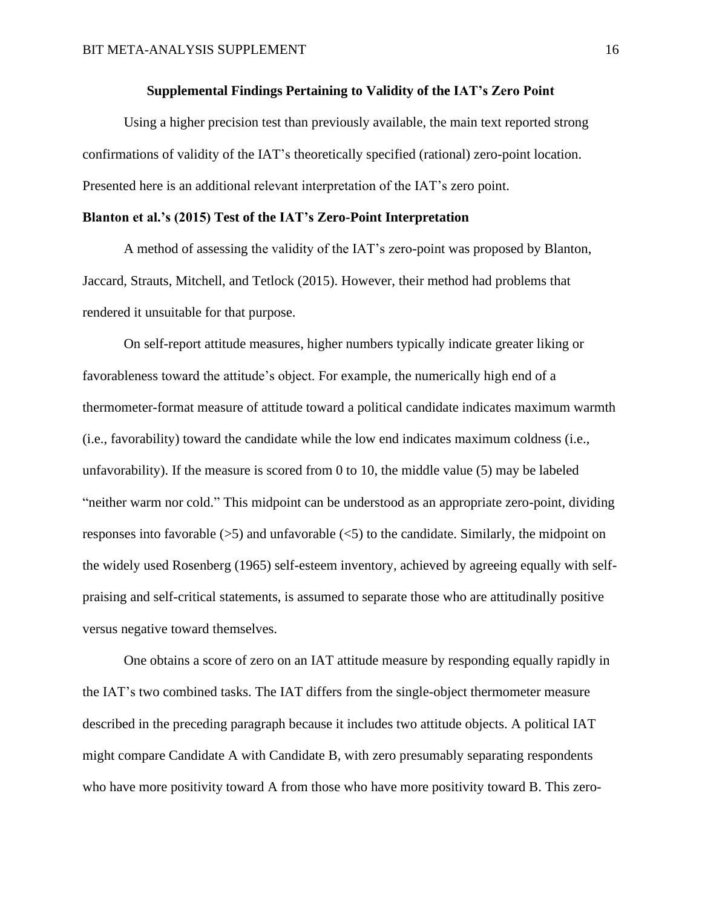#### **Supplemental Findings Pertaining to Validity of the IAT's Zero Point**

Using a higher precision test than previously available, the main text reported strong confirmations of validity of the IAT's theoretically specified (rational) zero-point location. Presented here is an additional relevant interpretation of the IAT's zero point.

#### **Blanton et al.'s (2015) Test of the IAT's Zero-Point Interpretation**

A method of assessing the validity of the IAT's zero-point was proposed by Blanton, Jaccard, Strauts, Mitchell, and Tetlock (2015). However, their method had problems that rendered it unsuitable for that purpose.

On self-report attitude measures, higher numbers typically indicate greater liking or favorableness toward the attitude's object. For example, the numerically high end of a thermometer-format measure of attitude toward a political candidate indicates maximum warmth (i.e., favorability) toward the candidate while the low end indicates maximum coldness (i.e., unfavorability). If the measure is scored from 0 to 10, the middle value (5) may be labeled "neither warm nor cold." This midpoint can be understood as an appropriate zero-point, dividing responses into favorable  $(5)$  and unfavorable  $(5)$  to the candidate. Similarly, the midpoint on the widely used Rosenberg (1965) self-esteem inventory, achieved by agreeing equally with selfpraising and self-critical statements, is assumed to separate those who are attitudinally positive versus negative toward themselves.

One obtains a score of zero on an IAT attitude measure by responding equally rapidly in the IAT's two combined tasks. The IAT differs from the single-object thermometer measure described in the preceding paragraph because it includes two attitude objects. A political IAT might compare Candidate A with Candidate B, with zero presumably separating respondents who have more positivity toward A from those who have more positivity toward B. This zero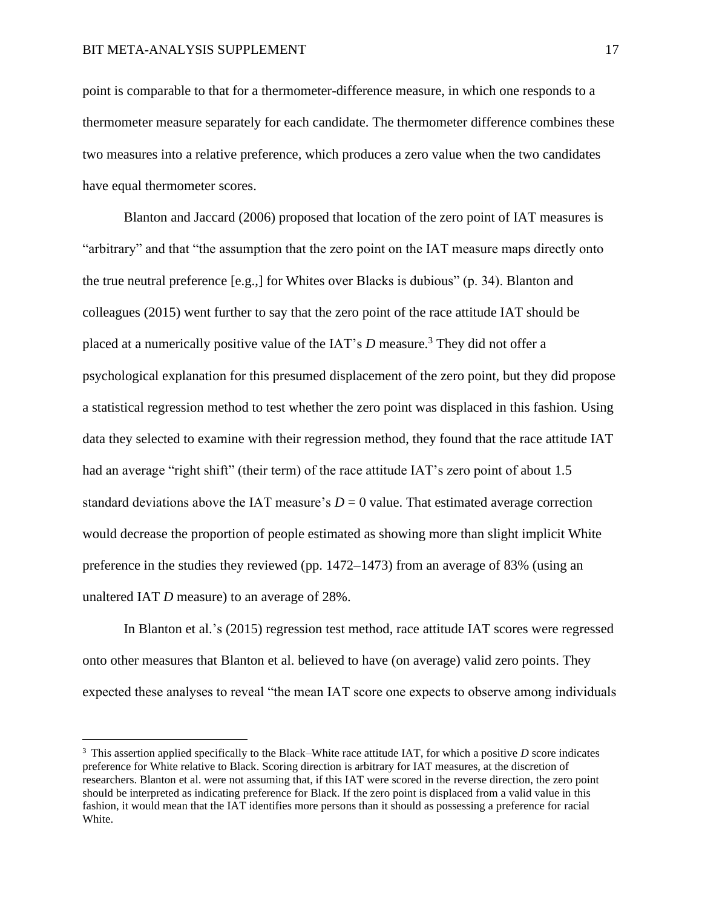point is comparable to that for a thermometer-difference measure, in which one responds to a thermometer measure separately for each candidate. The thermometer difference combines these two measures into a relative preference, which produces a zero value when the two candidates have equal thermometer scores.

Blanton and Jaccard (2006) proposed that location of the zero point of IAT measures is "arbitrary" and that "the assumption that the zero point on the IAT measure maps directly onto the true neutral preference [e.g.,] for Whites over Blacks is dubious" (p. 34). Blanton and colleagues (2015) went further to say that the zero point of the race attitude IAT should be placed at a numerically positive value of the IAT's *D* measure.<sup>3</sup> They did not offer a psychological explanation for this presumed displacement of the zero point, but they did propose a statistical regression method to test whether the zero point was displaced in this fashion. Using data they selected to examine with their regression method, they found that the race attitude IAT had an average "right shift" (their term) of the race attitude IAT's zero point of about 1.5 standard deviations above the IAT measure's  $D = 0$  value. That estimated average correction would decrease the proportion of people estimated as showing more than slight implicit White preference in the studies they reviewed (pp. 1472–1473) from an average of 83% (using an unaltered IAT *D* measure) to an average of 28%.

In Blanton et al.'s (2015) regression test method, race attitude IAT scores were regressed onto other measures that Blanton et al. believed to have (on average) valid zero points. They expected these analyses to reveal "the mean IAT score one expects to observe among individuals

<sup>3</sup> This assertion applied specifically to the Black–White race attitude IAT, for which a positive *D* score indicates preference for White relative to Black. Scoring direction is arbitrary for IAT measures, at the discretion of researchers. Blanton et al. were not assuming that, if this IAT were scored in the reverse direction, the zero point should be interpreted as indicating preference for Black. If the zero point is displaced from a valid value in this fashion, it would mean that the IAT identifies more persons than it should as possessing a preference for racial White.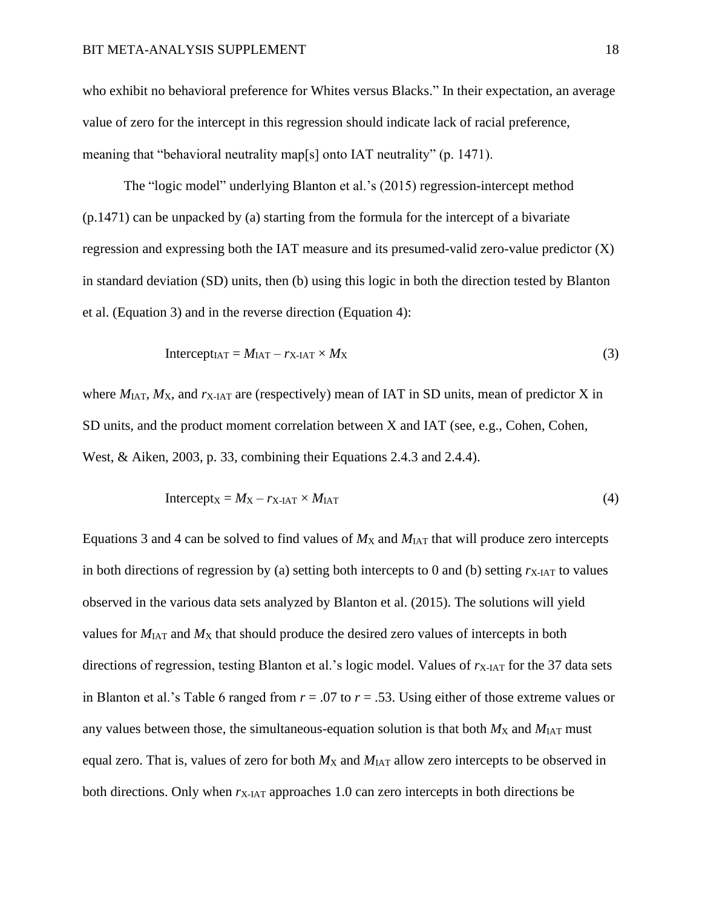who exhibit no behavioral preference for Whites versus Blacks." In their expectation, an average value of zero for the intercept in this regression should indicate lack of racial preference, meaning that "behavioral neutrality map[s] onto IAT neutrality" (p. 1471).

The "logic model" underlying Blanton et al.'s (2015) regression-intercept method (p.1471) can be unpacked by (a) starting from the formula for the intercept of a bivariate regression and expressing both the IAT measure and its presumed-valid zero-value predictor (X) in standard deviation (SD) units, then (b) using this logic in both the direction tested by Blanton et al. (Equation 3) and in the reverse direction (Equation 4):

$$
InterceptIAT = MIAT - rX-IAT × MX
$$
 (3)

where  $M<sub>IAT</sub>, M<sub>X</sub>$ , and  $r<sub>X-IAT</sub>$  are (respectively) mean of IAT in SD units, mean of predictor X in SD units, and the product moment correlation between X and IAT (see, e.g., Cohen, Cohen, West, & Aiken, 2003, p. 33, combining their Equations 2.4.3 and 2.4.4).

$$
Intercept_X = M_X - r_{X\text{-IAT}} \times M_{IAT}
$$
 (4)

Equations 3 and 4 can be solved to find values of  $M_X$  and  $M_{IAT}$  that will produce zero intercepts in both directions of regression by (a) setting both intercepts to 0 and (b) setting  $r_{\rm X\text{-}IAT}$  to values observed in the various data sets analyzed by Blanton et al. (2015). The solutions will yield values for  $M<sub>IAT</sub>$  and  $M<sub>X</sub>$  that should produce the desired zero values of intercepts in both directions of regression, testing Blanton et al.'s logic model. Values of  $r_{\text{X-IAT}}$  for the 37 data sets in Blanton et al.'s Table 6 ranged from *r* = .07 to *r* = .53. Using either of those extreme values or any values between those, the simultaneous-equation solution is that both  $M_X$  and  $M_{IAT}$  must equal zero. That is, values of zero for both  $M_X$  and  $M_{IAT}$  allow zero intercepts to be observed in both directions. Only when  $r_{\text{X-1AT}}$  approaches 1.0 can zero intercepts in both directions be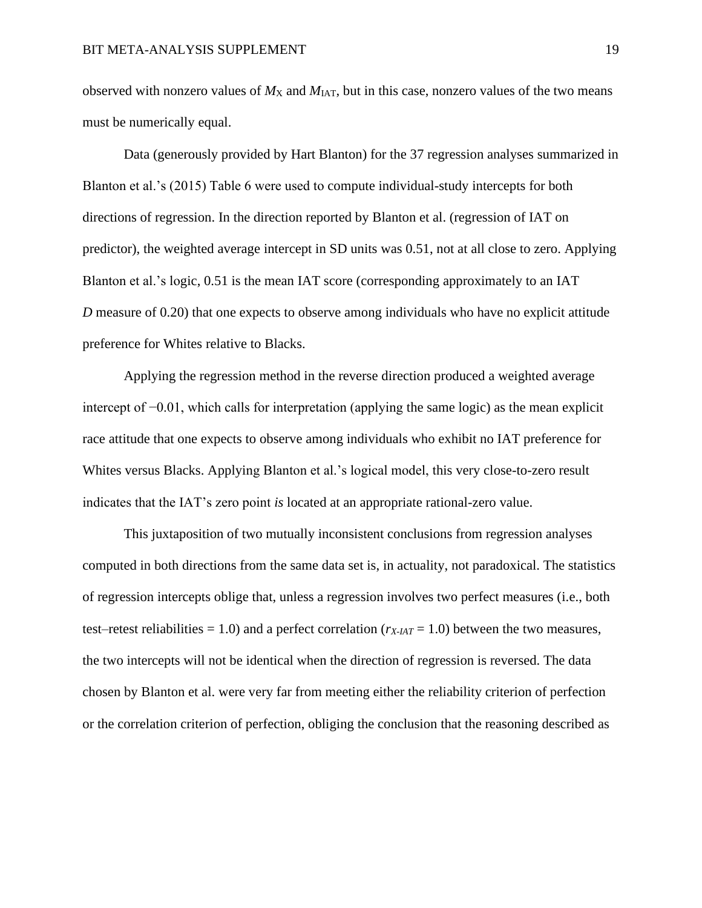observed with nonzero values of  $M_X$  and  $M_{IAT}$ , but in this case, nonzero values of the two means must be numerically equal.

Data (generously provided by Hart Blanton) for the 37 regression analyses summarized in Blanton et al.'s (2015) Table 6 were used to compute individual-study intercepts for both directions of regression. In the direction reported by Blanton et al. (regression of IAT on predictor), the weighted average intercept in SD units was 0.51, not at all close to zero. Applying Blanton et al.'s logic, 0.51 is the mean IAT score (corresponding approximately to an IAT *D* measure of 0.20) that one expects to observe among individuals who have no explicit attitude preference for Whites relative to Blacks.

Applying the regression method in the reverse direction produced a weighted average intercept of −0.01, which calls for interpretation (applying the same logic) as the mean explicit race attitude that one expects to observe among individuals who exhibit no IAT preference for Whites versus Blacks. Applying Blanton et al.'s logical model, this very close-to-zero result indicates that the IAT's zero point *is* located at an appropriate rational-zero value.

This juxtaposition of two mutually inconsistent conclusions from regression analyses computed in both directions from the same data set is, in actuality, not paradoxical. The statistics of regression intercepts oblige that, unless a regression involves two perfect measures (i.e., both test–retest reliabilities  $= 1.0$ ) and a perfect correlation ( $r_{X\text{-}IAT} = 1.0$ ) between the two measures, the two intercepts will not be identical when the direction of regression is reversed. The data chosen by Blanton et al. were very far from meeting either the reliability criterion of perfection or the correlation criterion of perfection, obliging the conclusion that the reasoning described as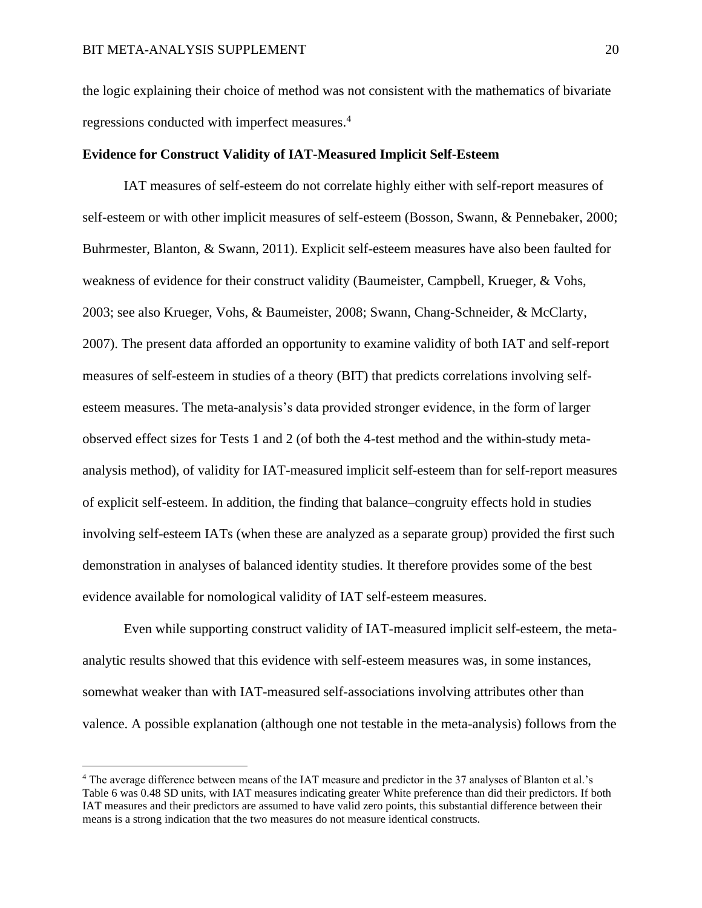the logic explaining their choice of method was not consistent with the mathematics of bivariate regressions conducted with imperfect measures. 4

#### **Evidence for Construct Validity of IAT-Measured Implicit Self-Esteem**

IAT measures of self-esteem do not correlate highly either with self-report measures of self-esteem or with other implicit measures of self-esteem (Bosson, Swann, & Pennebaker, 2000; Buhrmester, Blanton, & Swann, 2011). Explicit self-esteem measures have also been faulted for weakness of evidence for their construct validity (Baumeister, Campbell, Krueger, & Vohs, 2003; see also Krueger, Vohs, & Baumeister, 2008; Swann, Chang-Schneider, & McClarty, 2007). The present data afforded an opportunity to examine validity of both IAT and self-report measures of self-esteem in studies of a theory (BIT) that predicts correlations involving selfesteem measures. The meta-analysis's data provided stronger evidence, in the form of larger observed effect sizes for Tests 1 and 2 (of both the 4-test method and the within-study metaanalysis method), of validity for IAT-measured implicit self-esteem than for self-report measures of explicit self-esteem. In addition, the finding that balance–congruity effects hold in studies involving self-esteem IATs (when these are analyzed as a separate group) provided the first such demonstration in analyses of balanced identity studies. It therefore provides some of the best evidence available for nomological validity of IAT self-esteem measures.

Even while supporting construct validity of IAT-measured implicit self-esteem, the metaanalytic results showed that this evidence with self-esteem measures was, in some instances, somewhat weaker than with IAT-measured self-associations involving attributes other than valence. A possible explanation (although one not testable in the meta-analysis) follows from the

<sup>4</sup> The average difference between means of the IAT measure and predictor in the 37 analyses of Blanton et al.'s Table 6 was 0.48 SD units, with IAT measures indicating greater White preference than did their predictors. If both IAT measures and their predictors are assumed to have valid zero points, this substantial difference between their means is a strong indication that the two measures do not measure identical constructs.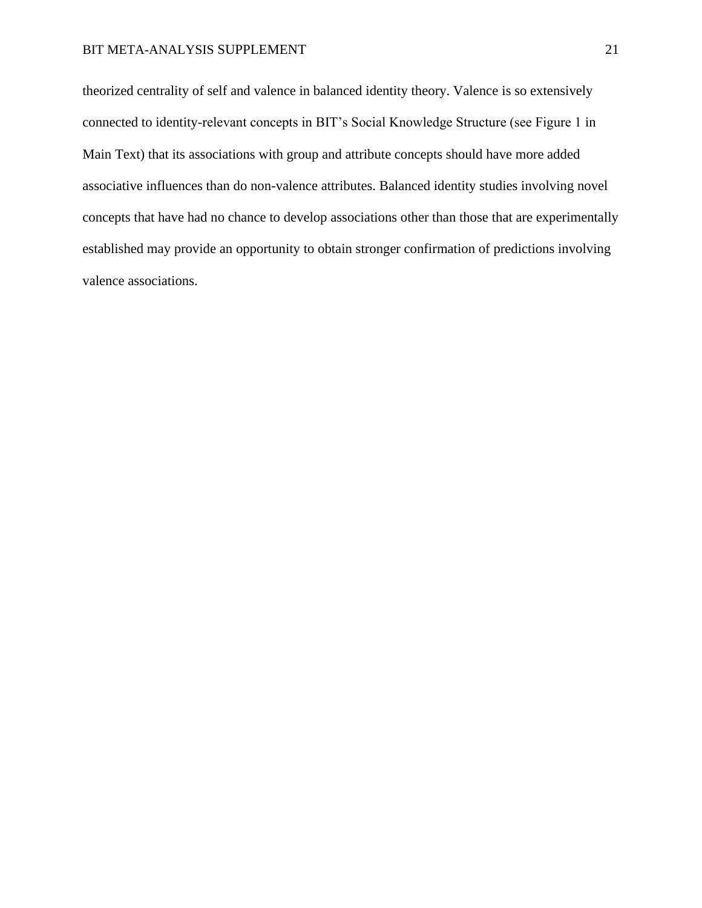theorized centrality of self and valence in balanced identity theory. Valence is so extensively connected to identity-relevant concepts in BIT's Social Knowledge Structure (see Figure 1 in Main Text) that its associations with group and attribute concepts should have more added associative influences than do non-valence attributes. Balanced identity studies involving novel concepts that have had no chance to develop associations other than those that are experimentally established may provide an opportunity to obtain stronger confirmation of predictions involving valence associations.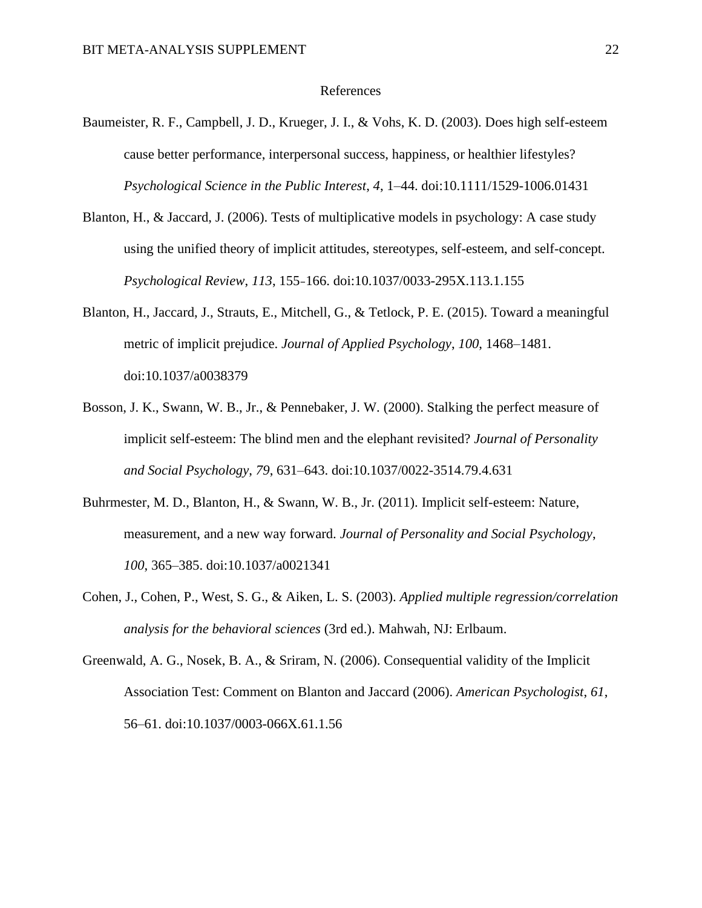#### References

- Baumeister, R. F., Campbell, J. D., Krueger, J. I., & Vohs, K. D. (2003). Does high self-esteem cause better performance, interpersonal success, happiness, or healthier lifestyles? *Psychological Science in the Public Interest*, *4*, 1–44. doi:10.1111/1529-1006.01431
- Blanton, H., & Jaccard, J. (2006). Tests of multiplicative models in psychology: A case study using the unified theory of implicit attitudes, stereotypes, self-esteem, and self-concept. *Psychological Review*, *113*, 155–166. doi:10.1037/0033-295X.113.1.155
- Blanton, H., Jaccard, J., Strauts, E., Mitchell, G., & Tetlock, P. E. (2015). Toward a meaningful metric of implicit prejudice. *Journal of Applied Psychology*, *100*, 1468–1481. doi:10.1037/a0038379
- Bosson, J. K., Swann, W. B., Jr., & Pennebaker, J. W. (2000). Stalking the perfect measure of implicit self-esteem: The blind men and the elephant revisited? *Journal of Personality and Social Psychology*, *79*, 631–643. doi:10.1037/0022-3514.79.4.631
- Buhrmester, M. D., Blanton, H., & Swann, W. B., Jr. (2011). Implicit self-esteem: Nature, measurement, and a new way forward. *Journal of Personality and Social Psychology*, *100*, 365–385. doi:10.1037/a0021341
- Cohen, J., Cohen, P., West, S. G., & Aiken, L. S. (2003). *Applied multiple regression/correlation analysis for the behavioral sciences* (3rd ed.). Mahwah, NJ: Erlbaum.
- Greenwald, A. G., Nosek, B. A., & Sriram, N. (2006). Consequential validity of the Implicit Association Test: Comment on Blanton and Jaccard (2006). *American Psychologist*, *61*, 56–61. doi:10.1037/0003-066X.61.1.56